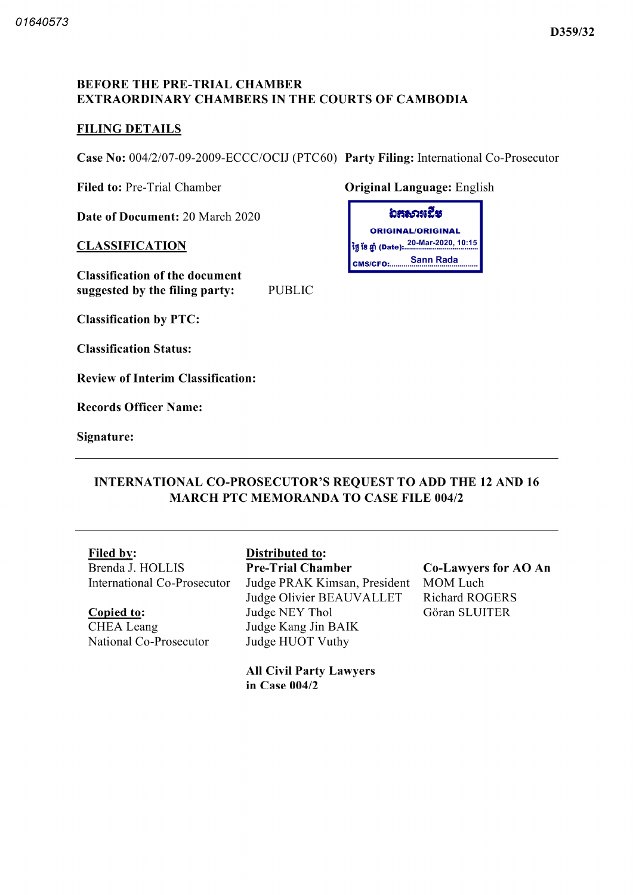#### BEFORE THE PRE-TRIAL CHAMBER EXTRAORDINARY CHAMBERS IN THE COURTS OF CAMBODIA

#### FILING DETAILS

Case No: 004/2/07-09-2009-ECCC/OCIJ (PTC60) Party Filing: International Co-Prosecutor

Filed to: Pre-Trial Chamber **Original Language:** English

Date of Document: 20 March 2020

#### **CLASSIFICATION**

Classification of the document suggested by the filing party: PUBLIC

ຸ່ມສະດາແປັສ ORIGINAL/ORIGINAL |<br>|ថ្ងៃ ខែ ឆ្នាំ (Date): 20-Mar-2020, 10:15 CMS/CFO: Sann Rada

Classification by PTC

Classification Status

Review of Interim Classification

Records Officer Name

Signature

### INTERNATIONAL CO PROSECUTOR'S REQUEST TO ADD THE <sup>12</sup> AND <sup>16</sup> MARCH PTC MEMORANDA TO CASE FILE 004/2

Brenda J. HOLLIS International Co Prosecutor

# Copied to

CHEA Leang National Co-Prosecutor

## Filed by: Distributed to:

Pre-Trial Chamber Judge PRAK Kimsan, President MOM Luch<br>Judge Olivier BEAUVALLET Richard ROGERS Judge Olivier BEAUVALLET Judge NEY Thol Judge Kang Jin AIK Judge HUOT Vuthy

Co-Lawyers for AO An Gôran SLUITER

All Civil Party Lawyers in Case 004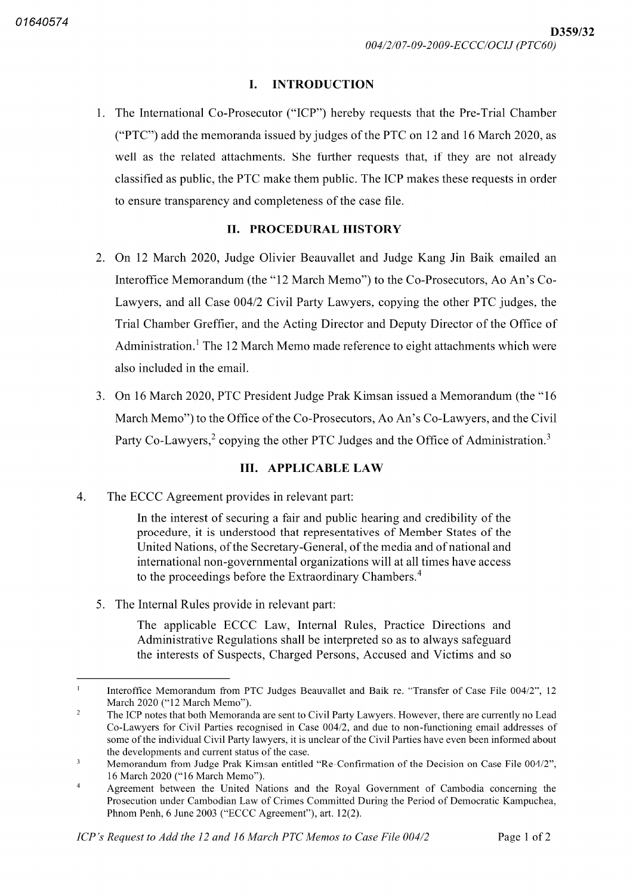#### L. INTRODUCTION

1. The International Co-Prosecutor ("ICP") hereby requests that the Pre-Trial Chamber ("PTC") add the memoranda issued by judges of the PTC on 12 and 16 March 2020, as well as the related attachments. She further requests that, if they are not already classified as public the PTC make them public The ICP makes these requests in order to ensure transparency and completeness of the case file.

#### II. PROCEDURAL HISTORY

- 2. On 12 March 2020, Judge Olivier Beauvallet and Judge Kang Jin Baik emailed an Interoffice Memorandum (the "12 March Memo") to the Co-Prosecutors, Ao An's Co-Lawyers, and all Case 004/2 Civil Party Lawyers, copying the other PTC judges, the Trial Chamber Greffier, and the Acting Director and Deputy Director of the Office of Administration.<sup>1</sup> The 12 March Memo made reference to eight attachments which were also included in the email
- 3. On 16 March 2020, PTC President Judge Prak Kimsan issued a Memorandum (the "16 March Memo") to the Office of the Co-Prosecutors, Ao An's Co-Lawyers, and the Civil Party Co-Lawyers,<sup>2</sup> copying the other PTC Judges and the Office of Administration.<sup>3</sup>

#### III. APPLICABLE LAW

 $4.$ The ECCC Agreement provides in relevant part

> In the interest of securing a fair and public hearing and credibility of the procedure, it is understood that representatives of Member States of the United Nations, of the Secretary-General, of the media and of national and international non governmental organizations will at all times have access to the proceedings before the Extraordinary Chambers.<sup>4</sup>

5. The Internal Rules provide in relevant part:

The applicable ECCC Law, Internal Rules, Practice Directions and Administrative Regulations shall be interpreted so as to always safeguard the interests of Suspects, Charged Persons, Accused and Victims and so

<sup>1</sup> Interoffice Memorandum from PTC Judges Beauvallet and Baik re. "Transfer of Case File 004/2", 12 March 2020 ("12 March Memo").

 $\sqrt{2}$ The ICP notes that both Memoranda are sent to Civil Party Lawyers. However, there are currently no Lead Co-Lawyers for Civil Parties recognised in Case 004/2, and due to non-functioning email addresses of some of the individual Civil Party lawyers it is unclear of the Civil Parties have even been informed about the developments and current status of the case

 $\overline{\mathbf{3}}$ Memorandum from Judge Prak Kimsan entitled "Re-Confirmation of the Decision on Case File 004/2". 16 March 2020 ("16 March Memo").

 $\overline{4}$ Agreement between the United Nations and the Royal Government of Cambodia concerning the Prosecution under Cambodian Law of Crimes Committed During the Period of Democratic Kampuchea Phnom Penh, 6 June 2003 ("ECCC Agreement"), art. 12(2).